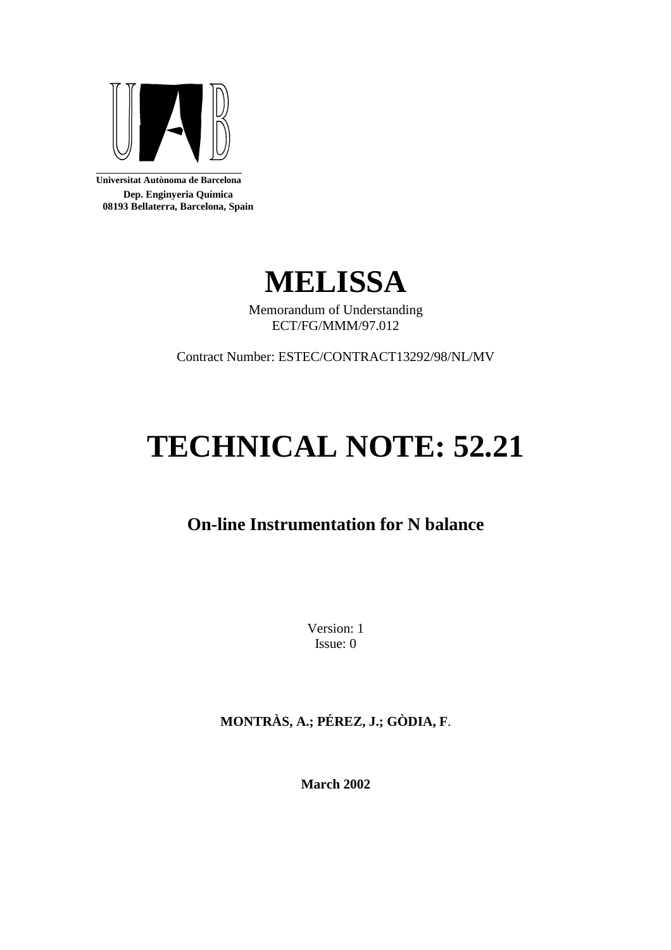

**Universitat Autònoma de Barcelona Dep. Enginyeria Química 08193 Bellaterra, Barcelona, Spain** 



Memorandum of Understanding ECT/FG/MMM/97.012

Contract Number: ESTEC/CONTRACT13292/98/NL/MV

# **TECHNICAL NOTE: 52.21**

# **On-line Instrumentation for N balance**

Version: 1 Issue: 0

**MONTRÀS, A.; PÉREZ, J.; GÒDIA, F**.

**March 2002**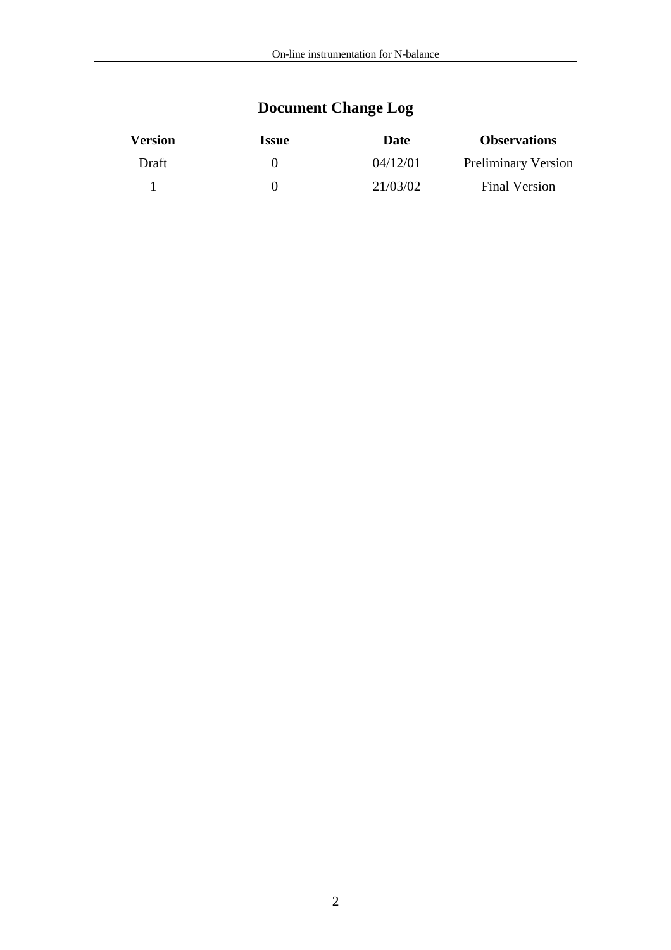# **Document Change Log**

| <b>Version</b> | <i><u><b>Issue</b></u></i> | Date     | <b>Observations</b>        |
|----------------|----------------------------|----------|----------------------------|
| Draft          |                            | 04/12/01 | <b>Preliminary Version</b> |
|                |                            | 21/03/02 | <b>Final Version</b>       |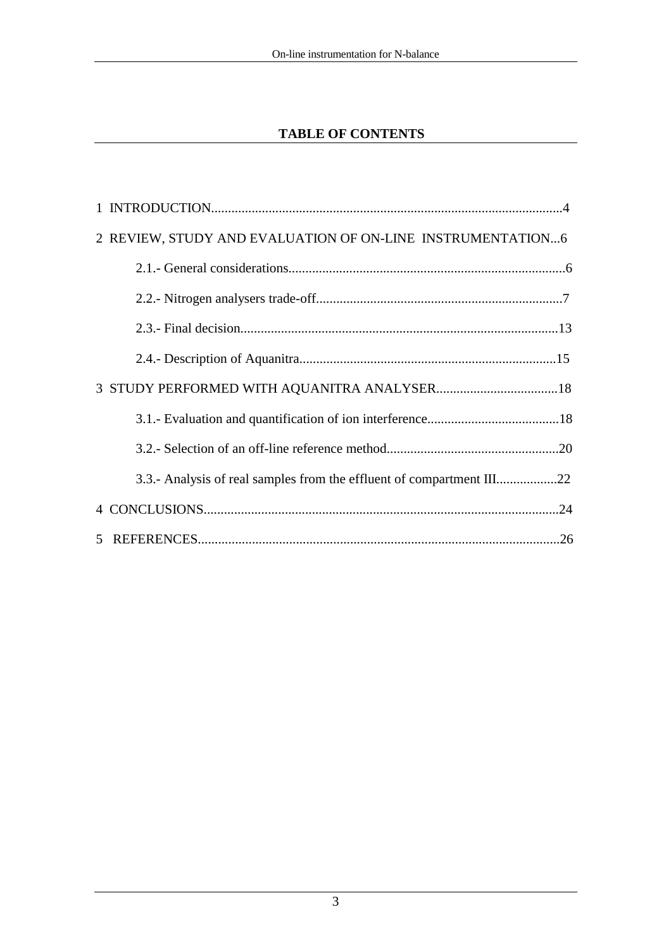## **TABLE OF CONTENTS**

| 2 REVIEW, STUDY AND EVALUATION OF ON-LINE INSTRUMENTATION6            |
|-----------------------------------------------------------------------|
|                                                                       |
|                                                                       |
|                                                                       |
|                                                                       |
|                                                                       |
|                                                                       |
|                                                                       |
| 3.3.- Analysis of real samples from the effluent of compartment III22 |
|                                                                       |
|                                                                       |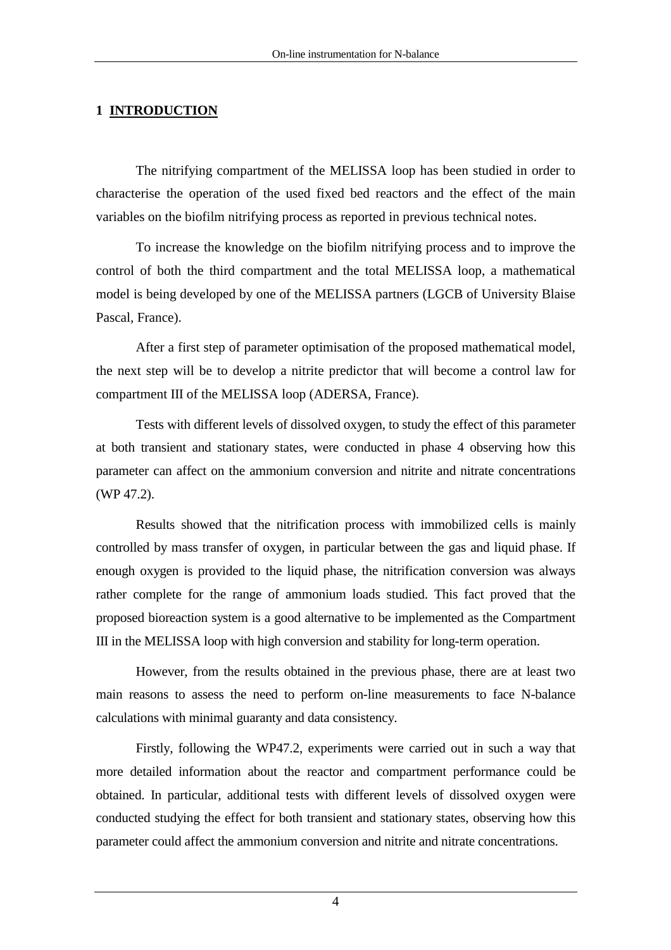## **1 INTRODUCTION**

 The nitrifying compartment of the MELISSA loop has been studied in order to characterise the operation of the used fixed bed reactors and the effect of the main variables on the biofilm nitrifying process as reported in previous technical notes.

To increase the knowledge on the biofilm nitrifying process and to improve the control of both the third compartment and the total MELISSA loop, a mathematical model is being developed by one of the MELISSA partners (LGCB of University Blaise Pascal, France).

After a first step of parameter optimisation of the proposed mathematical model, the next step will be to develop a nitrite predictor that will become a control law for compartment III of the MELISSA loop (ADERSA, France).

Tests with different levels of dissolved oxygen, to study the effect of this parameter at both transient and stationary states, were conducted in phase 4 observing how this parameter can affect on the ammonium conversion and nitrite and nitrate concentrations (WP 47.2).

Results showed that the nitrification process with immobilized cells is mainly controlled by mass transfer of oxygen, in particular between the gas and liquid phase. If enough oxygen is provided to the liquid phase, the nitrification conversion was always rather complete for the range of ammonium loads studied. This fact proved that the proposed bioreaction system is a good alternative to be implemented as the Compartment III in the MELISSA loop with high conversion and stability for long-term operation.

However, from the results obtained in the previous phase, there are at least two main reasons to assess the need to perform on-line measurements to face N-balance calculations with minimal guaranty and data consistency.

Firstly, following the WP47.2, experiments were carried out in such a way that more detailed information about the reactor and compartment performance could be obtained. In particular, additional tests with different levels of dissolved oxygen were conducted studying the effect for both transient and stationary states, observing how this parameter could affect the ammonium conversion and nitrite and nitrate concentrations.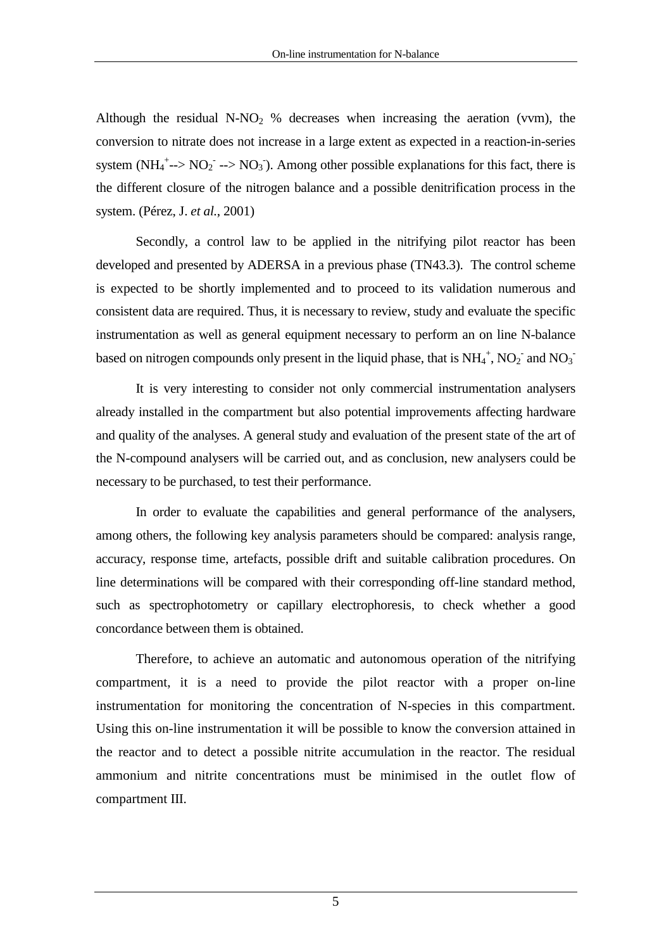Although the residual  $N-NO<sub>2</sub>$  % decreases when increasing the aeration (vvm), the conversion to nitrate does not increase in a large extent as expected in a reaction-in-series system ( $NH_4^+$ --> $NO_2^-$ --> $NO_3$ ). Among other possible explanations for this fact, there is the different closure of the nitrogen balance and a possible denitrification process in the system. (Pérez, J. *et al.*, 2001)

Secondly, a control law to be applied in the nitrifying pilot reactor has been developed and presented by ADERSA in a previous phase (TN43.3). The control scheme is expected to be shortly implemented and to proceed to its validation numerous and consistent data are required. Thus, it is necessary to review, study and evaluate the specific instrumentation as well as general equipment necessary to perform an on line N-balance based on nitrogen compounds only present in the liquid phase, that is  $NH_4^+$ ,  $NO_2^-$  and  $NO_3^-$ 

It is very interesting to consider not only commercial instrumentation analysers already installed in the compartment but also potential improvements affecting hardware and quality of the analyses. A general study and evaluation of the present state of the art of the N-compound analysers will be carried out, and as conclusion, new analysers could be necessary to be purchased, to test their performance.

In order to evaluate the capabilities and general performance of the analysers, among others, the following key analysis parameters should be compared: analysis range, accuracy, response time, artefacts, possible drift and suitable calibration procedures. On line determinations will be compared with their corresponding off-line standard method, such as spectrophotometry or capillary electrophoresis, to check whether a good concordance between them is obtained.

Therefore, to achieve an automatic and autonomous operation of the nitrifying compartment, it is a need to provide the pilot reactor with a proper on-line instrumentation for monitoring the concentration of N-species in this compartment. Using this on-line instrumentation it will be possible to know the conversion attained in the reactor and to detect a possible nitrite accumulation in the reactor. The residual ammonium and nitrite concentrations must be minimised in the outlet flow of compartment III.

5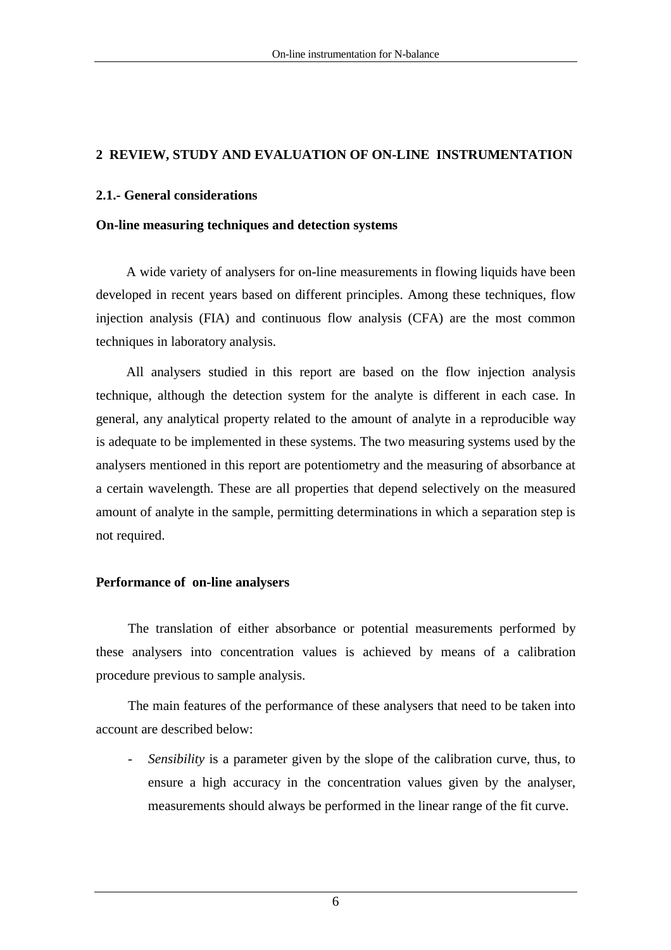## **2 REVIEW, STUDY AND EVALUATION OF ON-LINE INSTRUMENTATION**

#### **2.1.- General considerations**

#### **On-line measuring techniques and detection systems**

A wide variety of analysers for on-line measurements in flowing liquids have been developed in recent years based on different principles. Among these techniques, flow injection analysis (FIA) and continuous flow analysis (CFA) are the most common techniques in laboratory analysis.

All analysers studied in this report are based on the flow injection analysis technique, although the detection system for the analyte is different in each case. In general, any analytical property related to the amount of analyte in a reproducible way is adequate to be implemented in these systems. The two measuring systems used by the analysers mentioned in this report are potentiometry and the measuring of absorbance at a certain wavelength. These are all properties that depend selectively on the measured amount of analyte in the sample, permitting determinations in which a separation step is not required.

#### **Performance of on-line analysers**

The translation of either absorbance or potential measurements performed by these analysers into concentration values is achieved by means of a calibration procedure previous to sample analysis.

The main features of the performance of these analysers that need to be taken into account are described below:

- *Sensibility* is a parameter given by the slope of the calibration curve, thus, to ensure a high accuracy in the concentration values given by the analyser, measurements should always be performed in the linear range of the fit curve.

6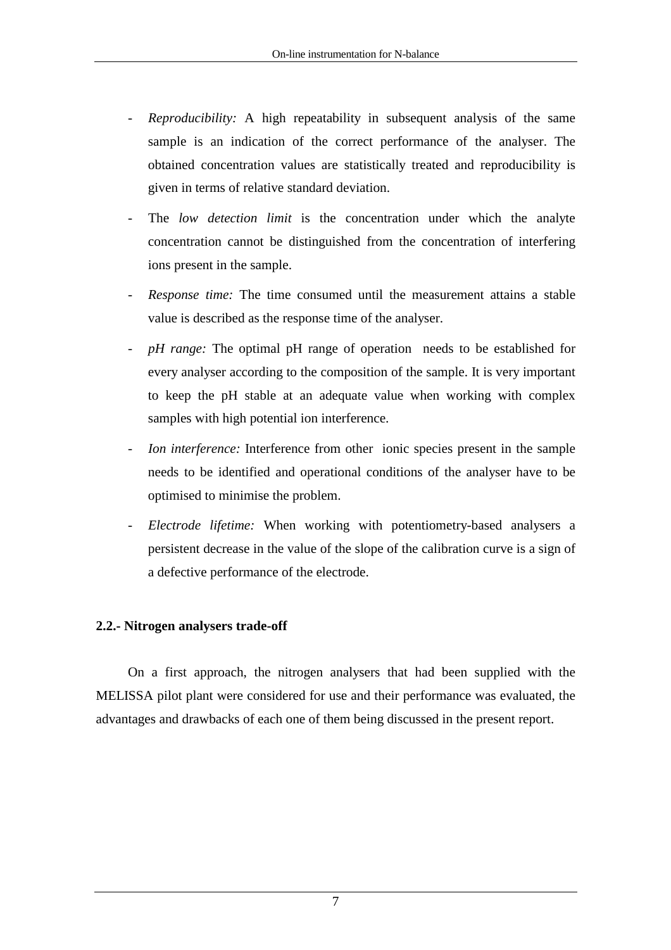- *Reproducibility:* A high repeatability in subsequent analysis of the same sample is an indication of the correct performance of the analyser. The obtained concentration values are statistically treated and reproducibility is given in terms of relative standard deviation.
- The *low detection limit* is the concentration under which the analyte concentration cannot be distinguished from the concentration of interfering ions present in the sample.
- *Response time:* The time consumed until the measurement attains a stable value is described as the response time of the analyser.
- *pH range:* The optimal pH range of operation needs to be established for every analyser according to the composition of the sample. It is very important to keep the pH stable at an adequate value when working with complex samples with high potential ion interference.
- *Ion interference:* Interference from other ionic species present in the sample needs to be identified and operational conditions of the analyser have to be optimised to minimise the problem.
- *Electrode lifetime:* When working with potentiometry-based analysers a persistent decrease in the value of the slope of the calibration curve is a sign of a defective performance of the electrode.

### **2.2.- Nitrogen analysers trade-off**

On a first approach, the nitrogen analysers that had been supplied with the MELISSA pilot plant were considered for use and their performance was evaluated, the advantages and drawbacks of each one of them being discussed in the present report.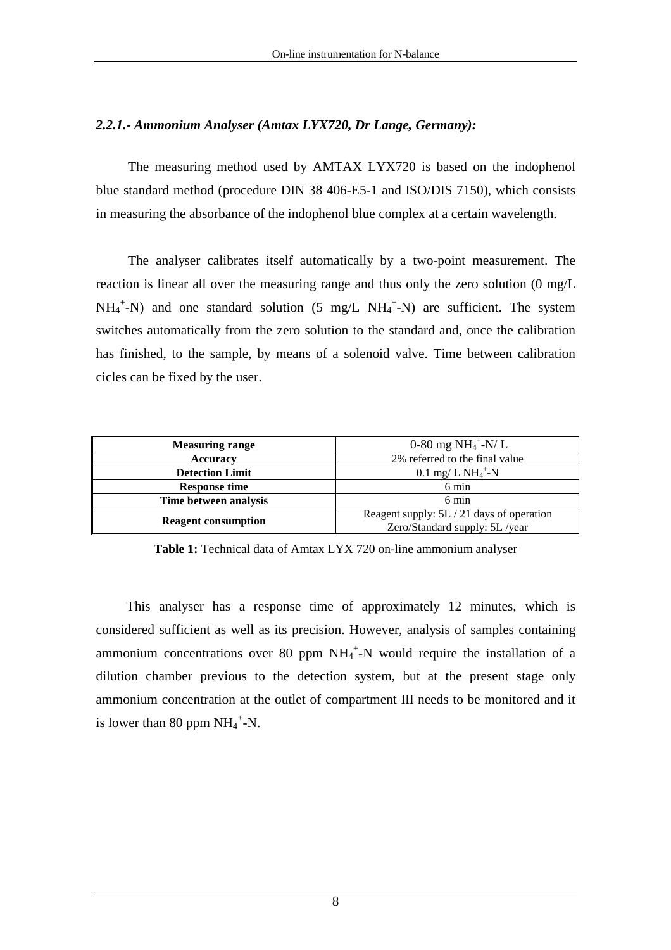## *2.2.1.- Ammonium Analyser (Amtax LYX720, Dr Lange, Germany):*

The measuring method used by AMTAX LYX720 is based on the indophenol blue standard method (procedure DIN 38 406-E5-1 and ISO/DIS 7150), which consists in measuring the absorbance of the indophenol blue complex at a certain wavelength.

The analyser calibrates itself automatically by a two-point measurement. The reaction is linear all over the measuring range and thus only the zero solution (0 mg/L  $NH_4^+$ -N) and one standard solution (5 mg/L  $NH_4^+$ -N) are sufficient. The system switches automatically from the zero solution to the standard and, once the calibration has finished, to the sample, by means of a solenoid valve. Time between calibration cicles can be fixed by the user.

| <b>Measuring range</b>     | 0-80 mg $NH_4^+$ -N/L                     |  |  |
|----------------------------|-------------------------------------------|--|--|
| <b>Accuracy</b>            | 2% referred to the final value            |  |  |
| <b>Detection Limit</b>     | $0.1 \text{ mg}/ L \text{ NH}_4^+$ -N     |  |  |
| <b>Response time</b>       | 6 min                                     |  |  |
| Time between analysis      | 6 min                                     |  |  |
|                            | Reagent supply: 5L / 21 days of operation |  |  |
| <b>Reagent consumption</b> | Zero/Standard supply: 5L /year            |  |  |

**Table 1:** Technical data of Amtax LYX 720 on-line ammonium analyser

This analyser has a response time of approximately 12 minutes, which is considered sufficient as well as its precision. However, analysis of samples containing ammonium concentrations over 80 ppm  $NH_4^+$ -N would require the installation of a dilution chamber previous to the detection system, but at the present stage only ammonium concentration at the outlet of compartment III needs to be monitored and it is lower than 80 ppm  $NH_4^+$ -N.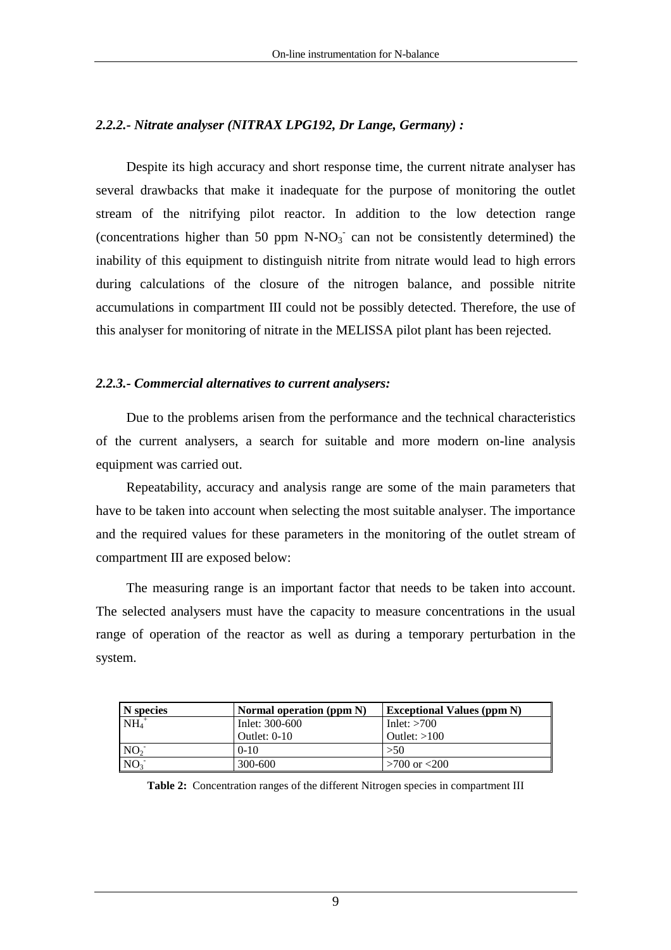## *2.2.2.- Nitrate analyser (NITRAX LPG192, Dr Lange, Germany) :*

Despite its high accuracy and short response time, the current nitrate analyser has several drawbacks that make it inadequate for the purpose of monitoring the outlet stream of the nitrifying pilot reactor. In addition to the low detection range (concentrations higher than 50 ppm  $N-NO<sub>3</sub>$  can not be consistently determined) the inability of this equipment to distinguish nitrite from nitrate would lead to high errors during calculations of the closure of the nitrogen balance, and possible nitrite accumulations in compartment III could not be possibly detected. Therefore, the use of this analyser for monitoring of nitrate in the MELISSA pilot plant has been rejected.

#### *2.2.3.- Commercial alternatives to current analysers:*

Due to the problems arisen from the performance and the technical characteristics of the current analysers, a search for suitable and more modern on-line analysis equipment was carried out.

Repeatability, accuracy and analysis range are some of the main parameters that have to be taken into account when selecting the most suitable analyser. The importance and the required values for these parameters in the monitoring of the outlet stream of compartment III are exposed below:

The measuring range is an important factor that needs to be taken into account. The selected analysers must have the capacity to measure concentrations in the usual range of operation of the reactor as well as during a temporary perturbation in the system.

| N species       | Normal operation (ppm N) | <b>Exceptional Values (ppm N)</b> |
|-----------------|--------------------------|-----------------------------------|
| $NH4+$          | Inlet: 300-600           | Inlet: $>700$                     |
|                 | Outlet: $0-10$           | Outlet: $>100$                    |
| NO <sub>2</sub> | $0-10$                   | >50                               |
| NO <sub>3</sub> | 300-600                  | $>700$ or $< 200$                 |

**Table 2:** Concentration ranges of the different Nitrogen species in compartment III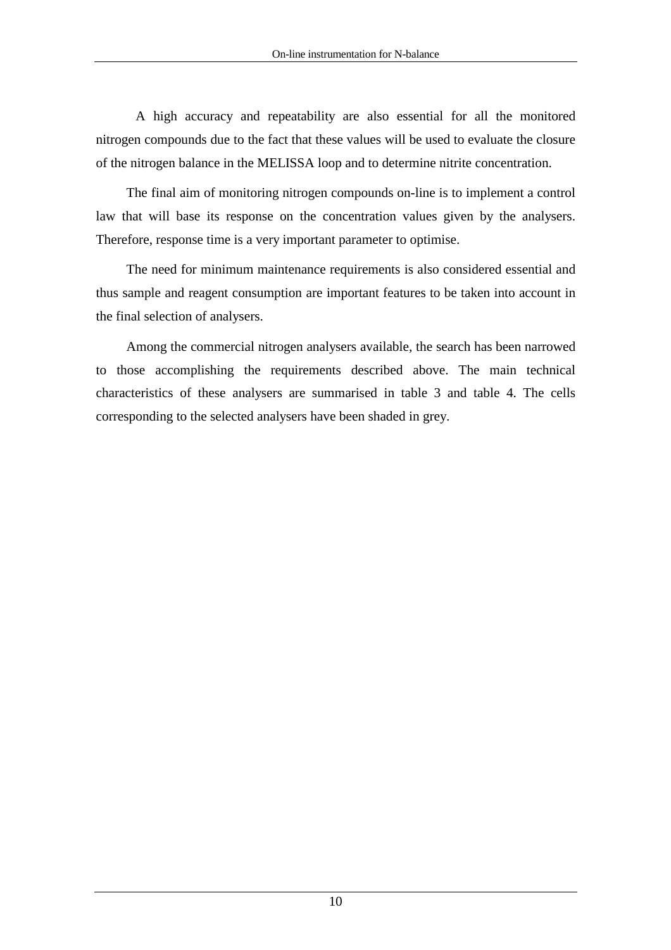A high accuracy and repeatability are also essential for all the monitored nitrogen compounds due to the fact that these values will be used to evaluate the closure of the nitrogen balance in the MELISSA loop and to determine nitrite concentration.

The final aim of monitoring nitrogen compounds on-line is to implement a control law that will base its response on the concentration values given by the analysers. Therefore, response time is a very important parameter to optimise.

The need for minimum maintenance requirements is also considered essential and thus sample and reagent consumption are important features to be taken into account in the final selection of analysers.

Among the commercial nitrogen analysers available, the search has been narrowed to those accomplishing the requirements described above. The main technical characteristics of these analysers are summarised in table 3 and table 4. The cells corresponding to the selected analysers have been shaded in grey.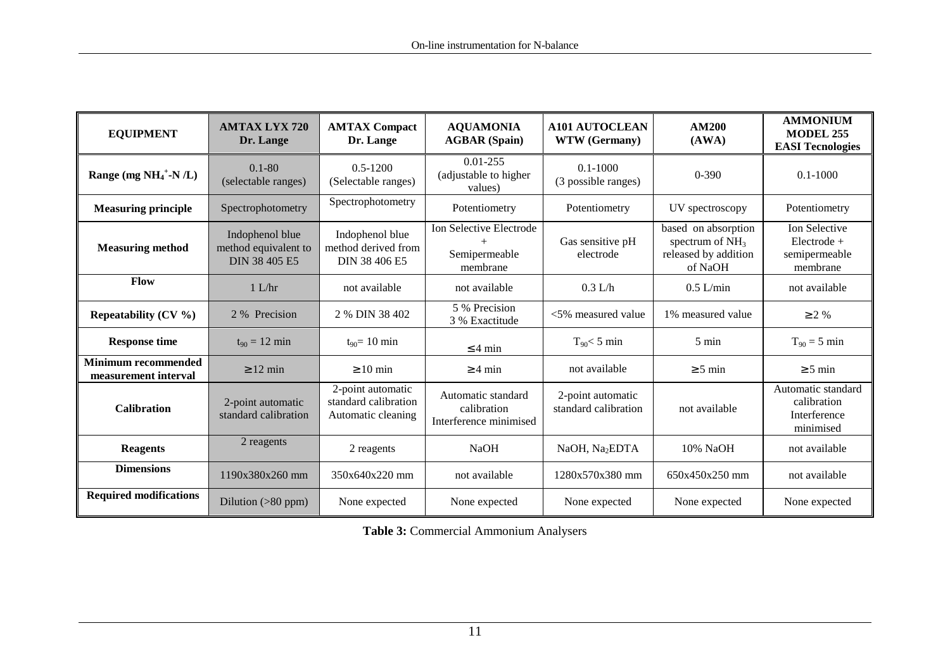| <b>EQUIPMENT</b>                                   | <b>AMTAX LYX 720</b><br>Dr. Lange                               | <b>AMTAX Compact</b><br>Dr. Lange                               | <b>AQUAMONIA</b><br><b>AGBAR</b> (Spain)                    | <b>A101 AUTOCLEAN</b><br>WTW (Germany)    | <b>AM200</b><br>(AWA)                                                       | <b>AMMONIUM</b><br><b>MODEL 255</b><br><b>EASI Tecnologies</b> |
|----------------------------------------------------|-----------------------------------------------------------------|-----------------------------------------------------------------|-------------------------------------------------------------|-------------------------------------------|-----------------------------------------------------------------------------|----------------------------------------------------------------|
| Range (mg $NH_4^+$ -N/L)                           | $0.1 - 80$<br>(selectable ranges)                               | $0.5 - 1200$<br>(Selectable ranges)                             | $0.01 - 255$<br>(adjustable to higher<br>values)            | $0.1 - 1000$<br>(3 possible ranges)       | $0 - 390$                                                                   | $0.1 - 1000$                                                   |
| <b>Measuring principle</b>                         | Spectrophotometry                                               | Spectrophotometry                                               | Potentiometry                                               | Potentiometry                             | UV spectroscopy                                                             | Potentiometry                                                  |
| <b>Measuring method</b>                            | Indophenol blue<br>method equivalent to<br><b>DIN 38 405 E5</b> | Indophenol blue<br>method derived from<br>DIN 38 406 E5         | Ion Selective Electrode<br>Semipermeable<br>membrane        | Gas sensitive pH<br>electrode             | based on absorption<br>spectrum of $NH3$<br>released by addition<br>of NaOH | Ion Selective<br>$Electrode +$<br>semipermeable<br>membrane    |
| Flow                                               | $1$ L/hr                                                        | not available                                                   | not available                                               | $0.3$ L/h                                 | $0.5$ L/min                                                                 | not available                                                  |
| Repeatability $(CV \%)$                            | 2 % Precision                                                   | 2 % DIN 38 402                                                  | 5 % Precision<br>3 % Exactitude                             | $<$ 5% measured value                     | 1% measured value                                                           | $\geq 2 \%$                                                    |
| <b>Response time</b>                               | $t_{90} = 12 \text{ min}$                                       | $t_{90} = 10$ min                                               | $\leq$ 4 min                                                | $T_{90} < 5$ min                          | $5 \text{ min}$                                                             | $T_{90} = 5 \text{ min}$                                       |
| <b>Minimum recommended</b><br>measurement interval | $\geq 12$ min                                                   | $\geq 10$ min                                                   | $\geq 4$ min                                                | not available                             | $\geq$ 5 min                                                                | $\geq$ 5 min                                                   |
| <b>Calibration</b>                                 | 2-point automatic<br>standard calibration                       | 2-point automatic<br>standard calibration<br>Automatic cleaning | Automatic standard<br>calibration<br>Interference minimised | 2-point automatic<br>standard calibration | not available                                                               | Automatic standard<br>calibration<br>Interference<br>minimised |
| <b>Reagents</b>                                    | 2 reagents                                                      | 2 reagents                                                      | <b>NaOH</b>                                                 | NaOH, Na <sub>2</sub> EDTA                | 10% NaOH                                                                    | not available                                                  |
| <b>Dimensions</b>                                  | 1190x380x260 mm                                                 | 350x640x220 mm                                                  | not available                                               | 1280x570x380 mm                           | $650x450x250$ mm                                                            | not available                                                  |
| <b>Required modifications</b>                      | Dilution (>80 ppm)                                              | None expected                                                   | None expected                                               | None expected                             | None expected                                                               | None expected                                                  |

**Table 3:** Commercial Ammonium Analysers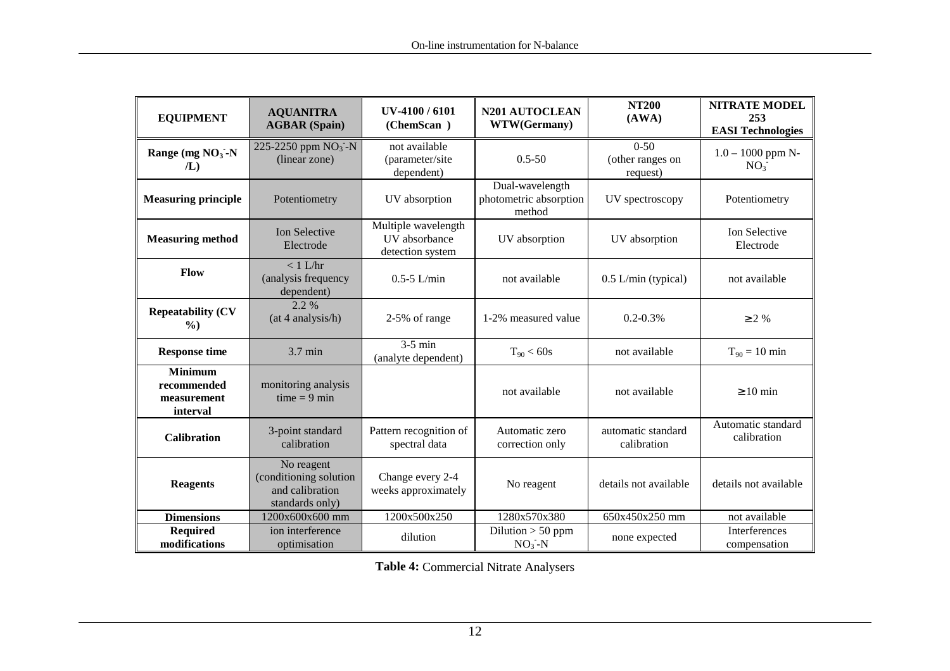| <b>EQUIPMENT</b>                                         | <b>AQUANITRA®</b><br><b>AGBAR</b> (Spain)                                                | UV-4100/6101<br>(ChemScan <sup>®</sup> )                 | N201 AUTOCLEAN<br>WTW(Germany)                      | <b>NT200</b><br>(AWA)                    | <b>NITRATE MODEL</b><br>253<br><b>EASI Technologies</b> |
|----------------------------------------------------------|------------------------------------------------------------------------------------------|----------------------------------------------------------|-----------------------------------------------------|------------------------------------------|---------------------------------------------------------|
| Range (mg $NO3$ -N<br>/L                                 | 225-2250 ppm $NO3$ -N<br>not available<br>(linear zone)<br>(parameter/site<br>dependent) |                                                          | $0.5 - 50$                                          | $0 - 50$<br>(other ranges on<br>request) | $1.0 - 1000$ ppm N-<br>NO <sub>3</sub>                  |
| <b>Measuring principle</b>                               | Potentiometry                                                                            | UV absorption                                            | Dual-wavelength<br>photometric absorption<br>method | UV spectroscopy                          | Potentiometry                                           |
| <b>Measuring method</b>                                  | <b>Ion Selective</b><br>Electrode                                                        | Multiple wavelength<br>UV absorbance<br>detection system | UV absorption                                       | UV absorption                            | Ion Selective<br>Electrode                              |
| Flow                                                     | $< 1$ L/hr<br>(analysis frequency<br>dependent)                                          | $0.5 - 5$ L/min                                          | not available                                       | $0.5$ L/min (typical)                    | not available                                           |
| <b>Repeatability (CV</b><br>$\%$ )                       | 2.2 %<br>(at 4 analysis/h)                                                               | 2-5% of range                                            | 1-2% measured value                                 | $0.2 - 0.3\%$                            | $\geq 2\%$                                              |
| <b>Response time</b>                                     | 3.7 min                                                                                  | $3-5$ min<br>(analyte dependent)                         | $T_{90}$ < 60s                                      | not available                            | $T_{90} = 10$ min                                       |
| <b>Minimum</b><br>recommended<br>measurement<br>interval | monitoring analysis<br>$time = 9 min$                                                    |                                                          | not available                                       | not available                            | $\geq 10$ min                                           |
| <b>Calibration</b>                                       | 3-point standard<br>calibration                                                          | Pattern recognition of<br>spectral data                  | Automatic zero<br>correction only                   | automatic standard<br>calibration        | Automatic standard<br>calibration                       |
| <b>Reagents</b>                                          | No reagent<br>(conditioning solution)<br>and calibration<br>standards only)              | Change every 2-4<br>weeks approximately                  | No reagent                                          | details not available                    | details not available                                   |
| <b>Dimensions</b>                                        | 1200x600x600 mm                                                                          | 1200x500x250                                             | 1280x570x380                                        | 650x450x250 mm                           | not available                                           |
| <b>Required</b><br>modifications                         | ion interference<br>optimisation                                                         | dilution                                                 | Dilution $> 50$ ppm<br>$NO3-N$                      | none expected                            | Interferences<br>compensation                           |

**Table 4:** Commercial Nitrate Analysers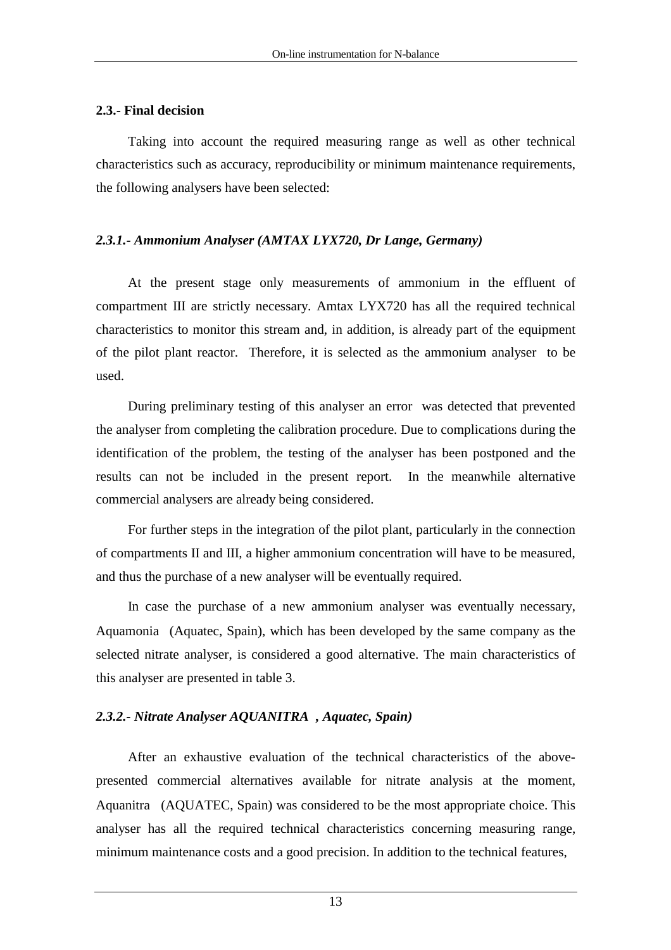## **2.3.- Final decision**

Taking into account the required measuring range as well as other technical characteristics such as accuracy, reproducibility or minimum maintenance requirements, the following analysers have been selected:

## *2.3.1.- Ammonium Analyser (AMTAX LYX720, Dr Lange, Germany)*

At the present stage only measurements of ammonium in the effluent of compartment III are strictly necessary. Amtax LYX720 has all the required technical characteristics to monitor this stream and, in addition, is already part of the equipment of the pilot plant reactor. Therefore, it is selected as the ammonium analyser to be used.

During preliminary testing of this analyser an error was detected that prevented the analyser from completing the calibration procedure. Due to complications during the identification of the problem, the testing of the analyser has been postponed and the results can not be included in the present report. In the meanwhile alternative commercial analysers are already being considered.

For further steps in the integration of the pilot plant, particularly in the connection of compartments II and III, a higher ammonium concentration will have to be measured, and thus the purchase of a new analyser will be eventually required.

In case the purchase of a new ammonium analyser was eventually necessary, Aquamonia<sup>®</sup> (Aquatec, Spain), which has been developed by the same company as the selected nitrate analyser, is considered a good alternative. The main characteristics of this analyser are presented in table 3.

## *2.3.2.- Nitrate Analyser AQUANITRA, Aquatec, Spain)*

After an exhaustive evaluation of the technical characteristics of the abovepresented commercial alternatives available for nitrate analysis at the moment, Aquanitra<sup> $\circ$ </sup> (AQUATEC, Spain) was considered to be the most appropriate choice. This analyser has all the required technical characteristics concerning measuring range, minimum maintenance costs and a good precision. In addition to the technical features,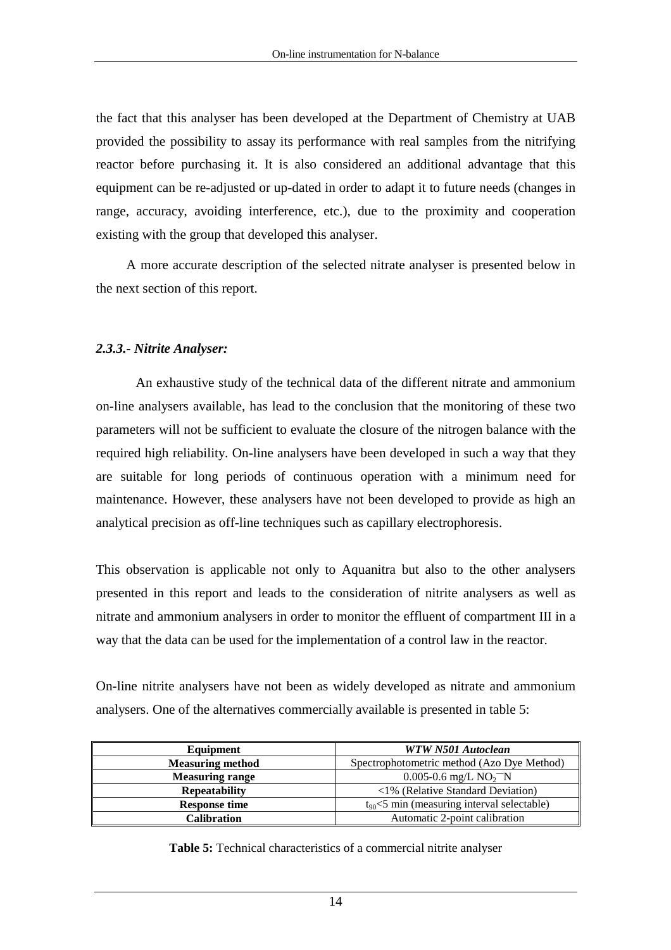the fact that this analyser has been developed at the Department of Chemistry at UAB provided the possibility to assay its performance with real samples from the nitrifying reactor before purchasing it. It is also considered an additional advantage that this equipment can be re-adjusted or up-dated in order to adapt it to future needs (changes in range, accuracy, avoiding interference, etc.), due to the proximity and cooperation existing with the group that developed this analyser.

A more accurate description of the selected nitrate analyser is presented below in the next section of this report.

## *2.3.3.- Nitrite Analyser:*

 An exhaustive study of the technical data of the different nitrate and ammonium on-line analysers available, has lead to the conclusion that the monitoring of these two parameters will not be sufficient to evaluate the closure of the nitrogen balance with the required high reliability. On-line analysers have been developed in such a way that they are suitable for long periods of continuous operation with a minimum need for maintenance. However, these analysers have not been developed to provide as high an analytical precision as off-line techniques such as capillary electrophoresis.

This observation is applicable not only to Aquanitra but also to the other analysers presented in this report and leads to the consideration of nitrite analysers as well as nitrate and ammonium analysers in order to monitor the effluent of compartment III in a way that the data can be used for the implementation of a control law in the reactor.

On-line nitrite analysers have not been as widely developed as nitrate and ammonium analysers. One of the alternatives commercially available is presented in table 5:

| Equipment               | WTW N501 Autoclean                                |  |
|-------------------------|---------------------------------------------------|--|
| <b>Measuring method</b> | Spectrophotometric method (Azo Dye Method)        |  |
| <b>Measuring range</b>  | $0.005 - 0.6$ mg/L NO <sub>2</sub> <sup>-</sup> N |  |
| <b>Repeatability</b>    | $\langle 1\%$ (Relative Standard Deviation)       |  |
| <b>Response time</b>    | $t_{90}$ < 5 min (measuring interval selectable)  |  |
| Calibration             | Automatic 2-point calibration                     |  |

|  |  | <b>Table 5:</b> Technical characteristics of a commercial nitrite analyser |  |  |
|--|--|----------------------------------------------------------------------------|--|--|
|--|--|----------------------------------------------------------------------------|--|--|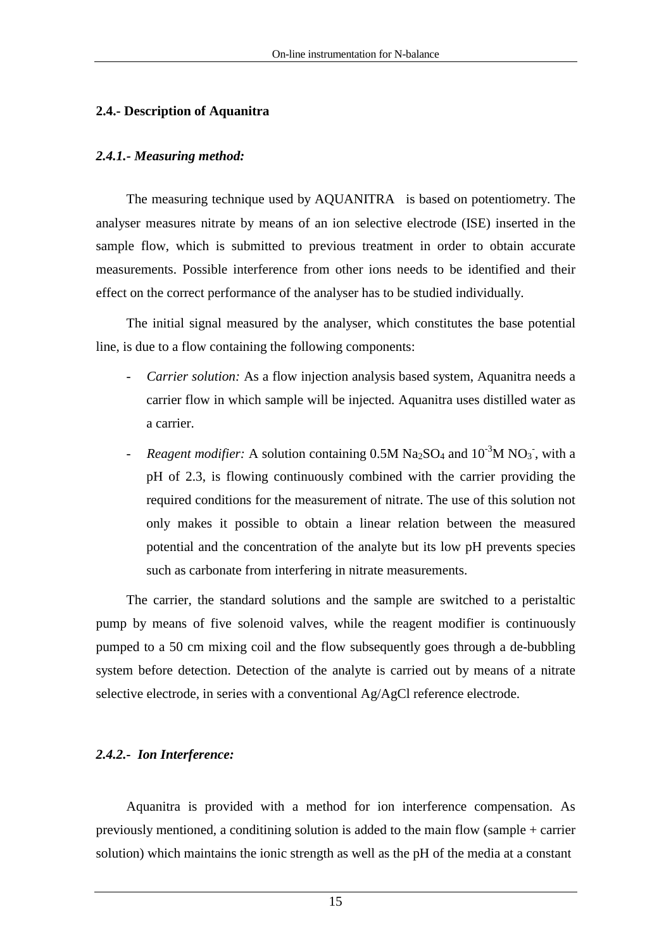## **2.4.- Description of Aquanitra**

## *2.4.1.- Measuring method:*

The measuring technique used by AQUANITRA $^{\circ}$  is based on potentiometry. The analyser measures nitrate by means of an ion selective electrode (ISE) inserted in the sample flow, which is submitted to previous treatment in order to obtain accurate measurements. Possible interference from other ions needs to be identified and their effect on the correct performance of the analyser has to be studied individually.

The initial signal measured by the analyser, which constitutes the base potential line, is due to a flow containing the following components:

- *Carrier solution:* As a flow injection analysis based system, Aquanitra needs a carrier flow in which sample will be injected. Aquanitra uses distilled water as a carrier.
- *Reagent modifier:* A solution containing  $0.5M$   $Na<sub>2</sub>SO<sub>4</sub>$  and  $10^{-3}M$   $NO<sub>3</sub>$ , with a pH of 2.3, is flowing continuously combined with the carrier providing the required conditions for the measurement of nitrate. The use of this solution not only makes it possible to obtain a linear relation between the measured potential and the concentration of the analyte but its low pH prevents species such as carbonate from interfering in nitrate measurements.

The carrier, the standard solutions and the sample are switched to a peristaltic pump by means of five solenoid valves, while the reagent modifier is continuously pumped to a 50 cm mixing coil and the flow subsequently goes through a de-bubbling system before detection. Detection of the analyte is carried out by means of a nitrate selective electrode, in series with a conventional Ag/AgCl reference electrode.

## *2.4.2.- Ion Interference:*

Aquanitra is provided with a method for ion interference compensation. As previously mentioned, a conditining solution is added to the main flow (sample + carrier solution) which maintains the ionic strength as well as the pH of the media at a constant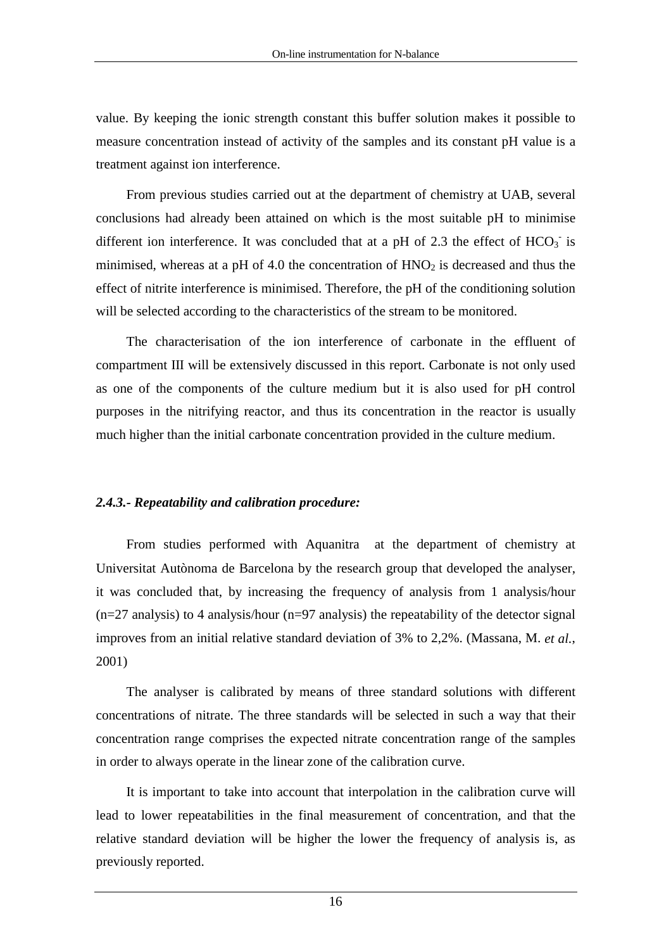value. By keeping the ionic strength constant this buffer solution makes it possible to measure concentration instead of activity of the samples and its constant pH value is a treatment against ion interference.

From previous studies carried out at the department of chemistry at UAB, several conclusions had already been attained on which is the most suitable pH to minimise different ion interference. It was concluded that at a pH of 2.3 the effect of  $HCO_3^-$  is minimised, whereas at a pH of 4.0 the concentration of  $HNO<sub>2</sub>$  is decreased and thus the effect of nitrite interference is minimised. Therefore, the pH of the conditioning solution will be selected according to the characteristics of the stream to be monitored.

The characterisation of the ion interference of carbonate in the effluent of compartment III will be extensively discussed in this report. Carbonate is not only used as one of the components of the culture medium but it is also used for pH control purposes in the nitrifying reactor, and thus its concentration in the reactor is usually much higher than the initial carbonate concentration provided in the culture medium.

### *2.4.3.- Repeatability and calibration procedure:*

From studies performed with Aquanitra $^{\circledR}$  at the department of chemistry at Universitat Autònoma de Barcelona by the research group that developed the analyser, it was concluded that, by increasing the frequency of analysis from 1 analysis/hour  $(n=27 \text{ analysis})$  to 4 analysis/hour  $(n=97 \text{ analysis})$  the repeatability of the detector signal improves from an initial relative standard deviation of 3% to 2,2%. (Massana, M. *et al.*, 2001)

The analyser is calibrated by means of three standard solutions with different concentrations of nitrate. The three standards will be selected in such a way that their concentration range comprises the expected nitrate concentration range of the samples in order to always operate in the linear zone of the calibration curve.

It is important to take into account that interpolation in the calibration curve will lead to lower repeatabilities in the final measurement of concentration, and that the relative standard deviation will be higher the lower the frequency of analysis is, as previously reported.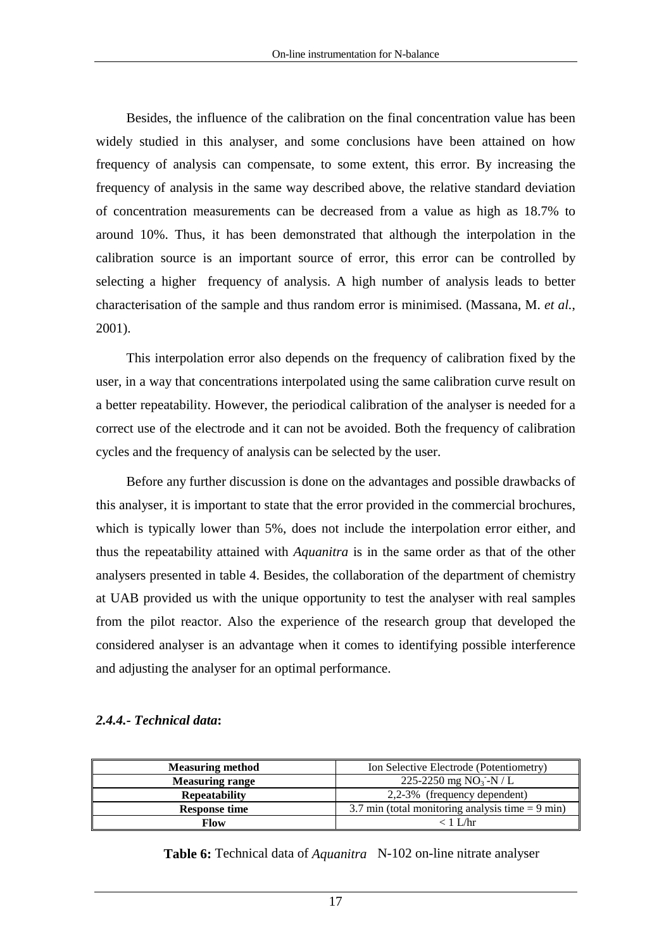Besides, the influence of the calibration on the final concentration value has been widely studied in this analyser, and some conclusions have been attained on how frequency of analysis can compensate, to some extent, this error. By increasing the frequency of analysis in the same way described above, the relative standard deviation of concentration measurements can be decreased from a value as high as 18.7% to around 10%. Thus, it has been demonstrated that although the interpolation in the calibration source is an important source of error, this error can be controlled by selecting a higher frequency of analysis. A high number of analysis leads to better characterisation of the sample and thus random error is minimised. (Massana, M. *et al.*, 2001).

This interpolation error also depends on the frequency of calibration fixed by the user, in a way that concentrations interpolated using the same calibration curve result on a better repeatability. However, the periodical calibration of the analyser is needed for a correct use of the electrode and it can not be avoided. Both the frequency of calibration cycles and the frequency of analysis can be selected by the user.

Before any further discussion is done on the advantages and possible drawbacks of this analyser, it is important to state that the error provided in the commercial brochures, which is typically lower than 5%, does not include the interpolation error either, and thus the repeatability attained with *Aquanitra* is in the same order as that of the other analysers presented in table 4. Besides, the collaboration of the department of chemistry at UAB provided us with the unique opportunity to test the analyser with real samples from the pilot reactor. Also the experience of the research group that developed the considered analyser is an advantage when it comes to identifying possible interference and adjusting the analyser for an optimal performance.

#### *2.4.4.- Technical data***:**

| <b>Measuring method</b> | Ion Selective Electrode (Potentiometry)            |  |  |
|-------------------------|----------------------------------------------------|--|--|
| <b>Measuring range</b>  | 225-2250 mg NO <sub>3</sub> -N / L                 |  |  |
| <b>Repeatability</b>    | 2,2-3% (frequency dependent)                       |  |  |
| <b>Response time</b>    | 3.7 min (total monitoring analysis time $= 9$ min) |  |  |
| Flow                    | ∠ 1 I ∕hr                                          |  |  |

**Table 6:** Technical data of *Aquanitra*<sup>®</sup> N-102 on-line nitrate analyser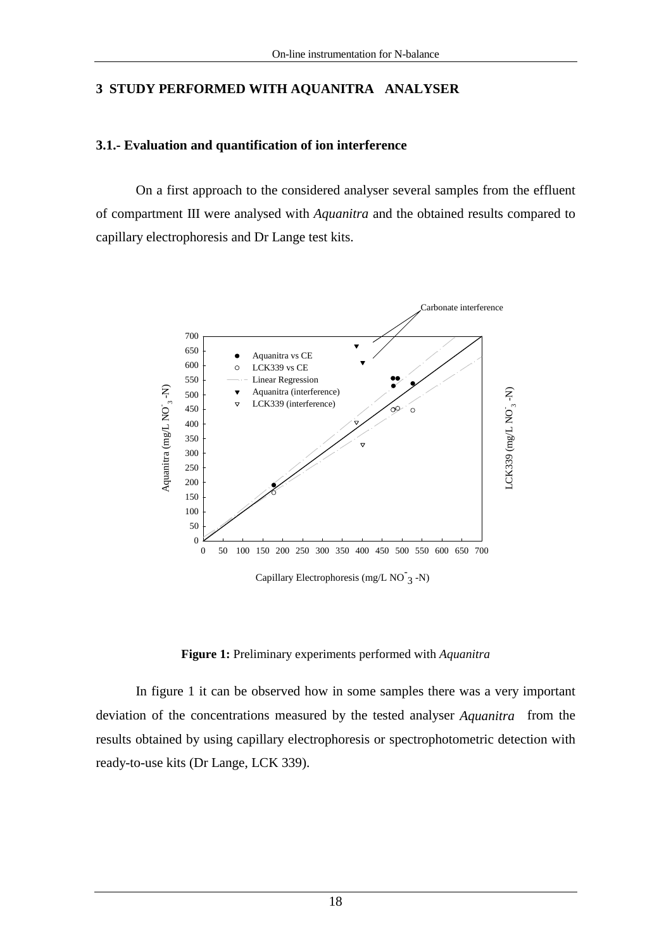## **3 STUDY PERFORMED WITH AQUANITRA ANALYSER**

### **3.1.- Evaluation and quantification of ion interference**

 On a first approach to the considered analyser several samples from the effluent of compartment III were analysed with *Aquanitra* and the obtained results compared to capillary electrophoresis and Dr Lange test kits.



Capillary Electrophoresis (mg/L NO<sup>-</sup>3 -N)

**Figure 1:** Preliminary experiments performed with *Aquanitra*

In figure 1 it can be observed how in some samples there was a very important deviation of the concentrations measured by the tested analyser *Aquanitra*<sup>®</sup> from the results obtained by using capillary electrophoresis or spectrophotometric detection with ready-to-use kits (Dr Lange, LCK 339).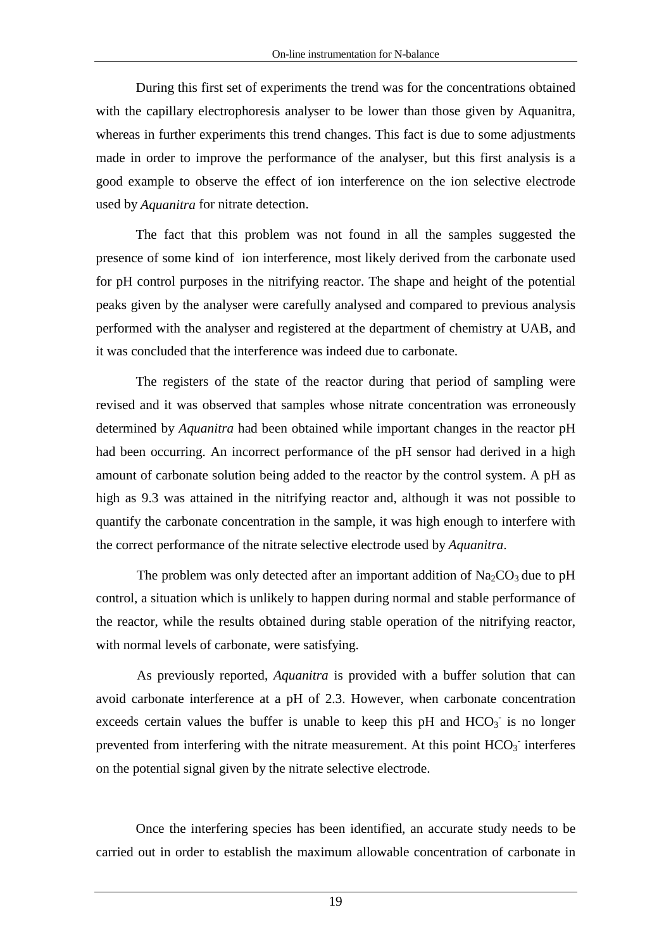During this first set of experiments the trend was for the concentrations obtained with the capillary electrophoresis analyser to be lower than those given by Aquanitra, whereas in further experiments this trend changes. This fact is due to some adjustments made in order to improve the performance of the analyser, but this first analysis is a good example to observe the effect of ion interference on the ion selective electrode used by *Aquanitra* for nitrate detection.

The fact that this problem was not found in all the samples suggested the presence of some kind of ion interference, most likely derived from the carbonate used for pH control purposes in the nitrifying reactor. The shape and height of the potential peaks given by the analyser were carefully analysed and compared to previous analysis performed with the analyser and registered at the department of chemistry at UAB, and it was concluded that the interference was indeed due to carbonate.

The registers of the state of the reactor during that period of sampling were revised and it was observed that samples whose nitrate concentration was erroneously determined by *Aquanitra* had been obtained while important changes in the reactor pH had been occurring. An incorrect performance of the pH sensor had derived in a high amount of carbonate solution being added to the reactor by the control system. A pH as high as 9.3 was attained in the nitrifying reactor and, although it was not possible to quantify the carbonate concentration in the sample, it was high enough to interfere with the correct performance of the nitrate selective electrode used by *Aquanitra*.

The problem was only detected after an important addition of  $\text{Na}_2\text{CO}_3$  due to pH control, a situation which is unlikely to happen during normal and stable performance of the reactor, while the results obtained during stable operation of the nitrifying reactor, with normal levels of carbonate, were satisfying.

As previously reported, *Aquanitra* is provided with a buffer solution that can avoid carbonate interference at a pH of 2.3. However, when carbonate concentration exceeds certain values the buffer is unable to keep this pH and  $HCO<sub>3</sub>$  is no longer prevented from interfering with the nitrate measurement. At this point  $HCO<sub>3</sub>$  interferes on the potential signal given by the nitrate selective electrode.

Once the interfering species has been identified, an accurate study needs to be carried out in order to establish the maximum allowable concentration of carbonate in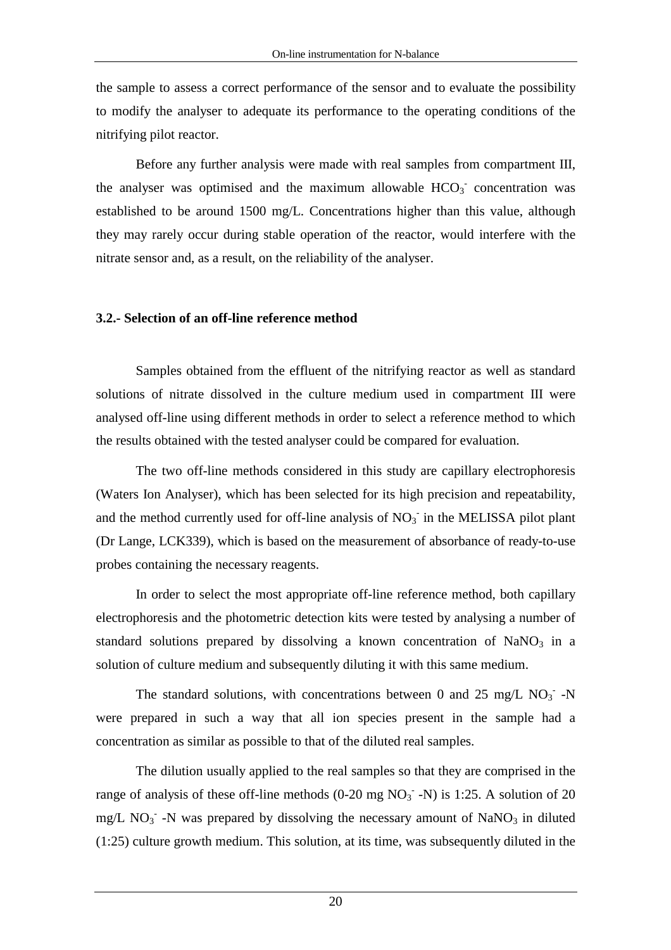the sample to assess a correct performance of the sensor and to evaluate the possibility to modify the analyser to adequate its performance to the operating conditions of the nitrifying pilot reactor.

Before any further analysis were made with real samples from compartment III, the analyser was optimised and the maximum allowable  $HCO<sub>3</sub>$  concentration was established to be around 1500 mg/L. Concentrations higher than this value, although they may rarely occur during stable operation of the reactor, would interfere with the nitrate sensor and, as a result, on the reliability of the analyser.

#### **3.2.- Selection of an off-line reference method**

Samples obtained from the effluent of the nitrifying reactor as well as standard solutions of nitrate dissolved in the culture medium used in compartment III were analysed off-line using different methods in order to select a reference method to which the results obtained with the tested analyser could be compared for evaluation.

 The two off-line methods considered in this study are capillary electrophoresis (Waters Ion Analyser), which has been selected for its high precision and repeatability, and the method currently used for off-line analysis of  $NO<sub>3</sub>$  in the MELISSA pilot plant (Dr Lange, LCK339), which is based on the measurement of absorbance of ready-to-use probes containing the necessary reagents.

 In order to select the most appropriate off-line reference method, both capillary electrophoresis and the photometric detection kits were tested by analysing a number of standard solutions prepared by dissolving a known concentration of  $NaNO<sub>3</sub>$  in a solution of culture medium and subsequently diluting it with this same medium.

The standard solutions, with concentrations between 0 and 25 mg/L  $NO<sub>3</sub>$  -N were prepared in such a way that all ion species present in the sample had a concentration as similar as possible to that of the diluted real samples.

 The dilution usually applied to the real samples so that they are comprised in the range of analysis of these off-line methods  $(0-20 \text{ mg NO}_3 \cdot \text{-N})$  is 1:25. A solution of 20  $mg/L NO<sub>3</sub>$  -N was prepared by dissolving the necessary amount of NaNO<sub>3</sub> in diluted (1:25) culture growth medium. This solution, at its time, was subsequently diluted in the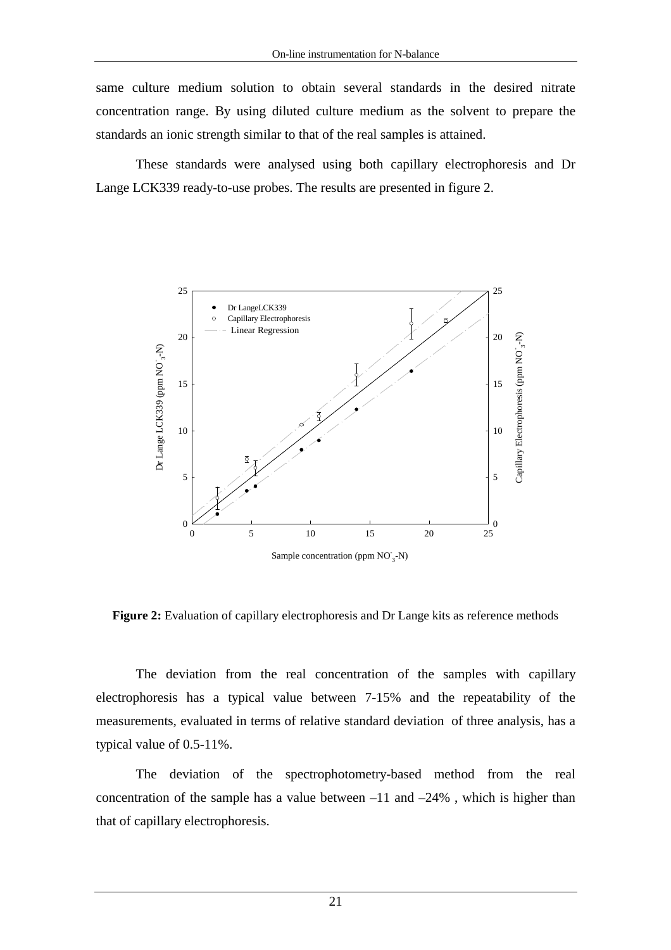same culture medium solution to obtain several standards in the desired nitrate concentration range. By using diluted culture medium as the solvent to prepare the standards an ionic strength similar to that of the real samples is attained.

These standards were analysed using both capillary electrophoresis and Dr Lange LCK339 ready-to-use probes. The results are presented in figure 2.



Figure 2: Evaluation of capillary electrophoresis and Dr Lange kits as reference methods

The deviation from the real concentration of the samples with capillary electrophoresis has a typical value between 7-15% and the repeatability of the measurements, evaluated in terms of relative standard deviation of three analysis, has a typical value of 0.5-11%.

The deviation of the spectrophotometry-based method from the real concentration of the sample has a value between  $-11$  and  $-24\%$ , which is higher than that of capillary electrophoresis.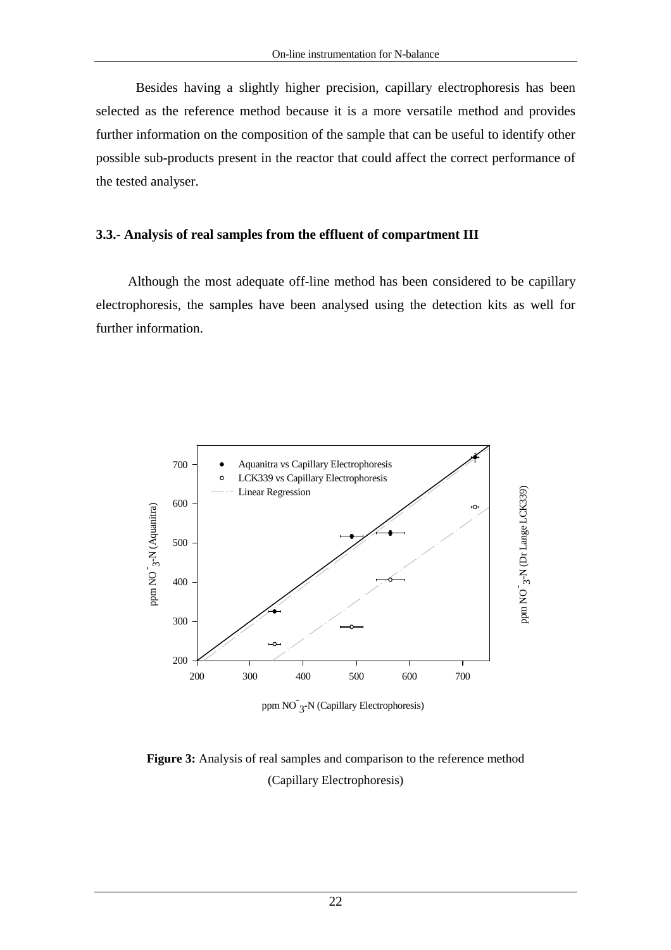Besides having a slightly higher precision, capillary electrophoresis has been selected as the reference method because it is a more versatile method and provides further information on the composition of the sample that can be useful to identify other possible sub-products present in the reactor that could affect the correct performance of the tested analyser.

#### **3.3.- Analysis of real samples from the effluent of compartment III**

Although the most adequate off-line method has been considered to be capillary electrophoresis, the samples have been analysed using the detection kits as well for further information.



ppm NO<sup>-</sup>3-N (Capillary Electrophoresis)

## **Figure 3:** Analysis of real samples and comparison to the reference method (Capillary Electrophoresis)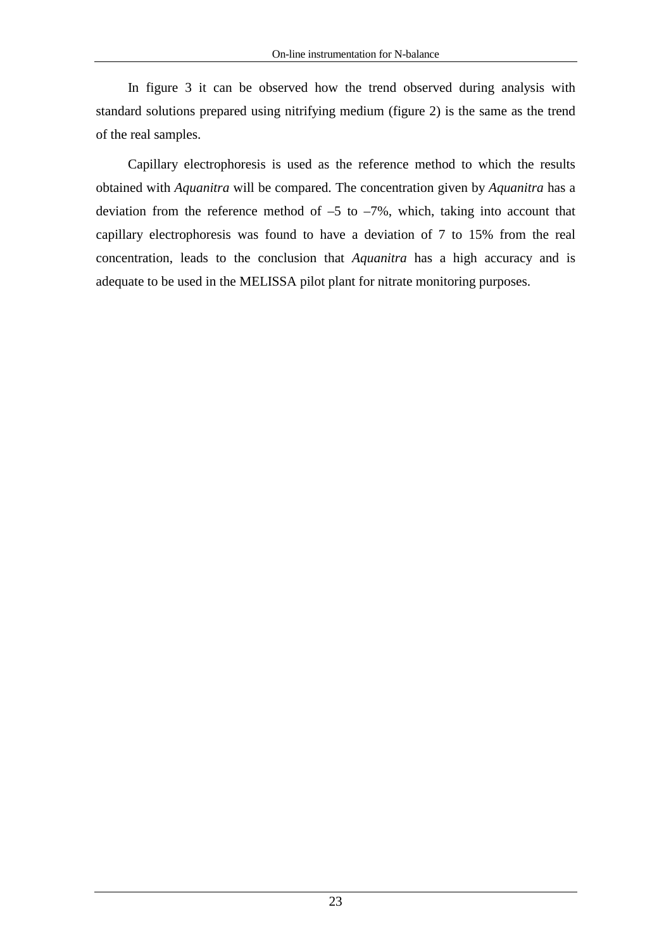In figure 3 it can be observed how the trend observed during analysis with standard solutions prepared using nitrifying medium (figure 2) is the same as the trend of the real samples.

Capillary electrophoresis is used as the reference method to which the results obtained with *Aquanitra* will be compared. The concentration given by *Aquanitra* has a deviation from the reference method of  $-5$  to  $-7\%$ , which, taking into account that capillary electrophoresis was found to have a deviation of 7 to 15% from the real concentration, leads to the conclusion that *Aquanitra* has a high accuracy and is adequate to be used in the MELISSA pilot plant for nitrate monitoring purposes.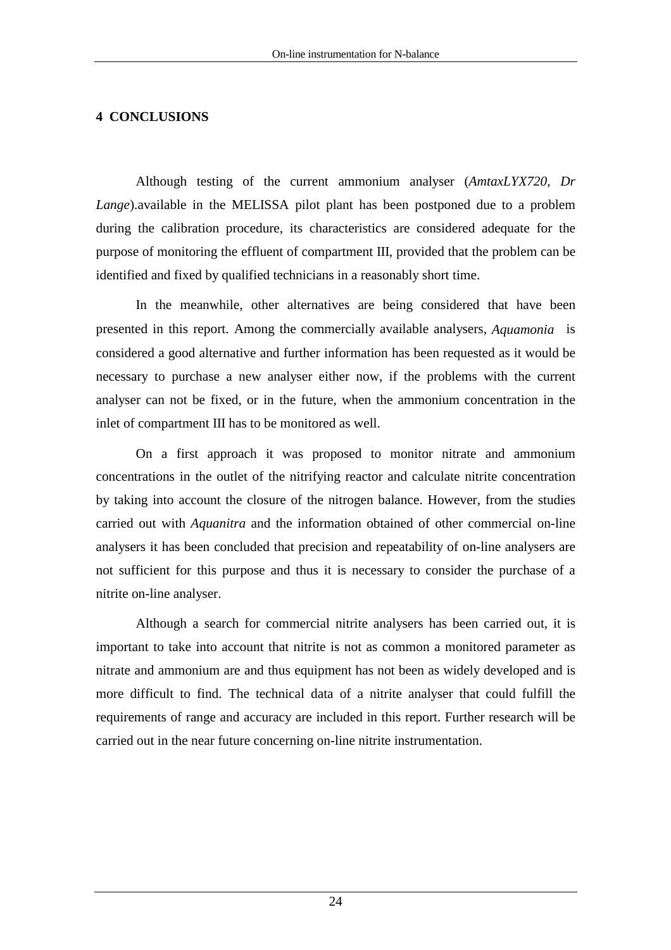## **4 CONCLUSIONS**

Although testing of the current ammonium analyser (*AmtaxLYX720, Dr Lange*).available in the MELISSA pilot plant has been postponed due to a problem during the calibration procedure, its characteristics are considered adequate for the purpose of monitoring the effluent of compartment III, provided that the problem can be identified and fixed by qualified technicians in a reasonably short time.

 In the meanwhile, other alternatives are being considered that have been presented in this report. Among the commercially available analysers, *Aquamonia* is considered a good alternative and further information has been requested as it would be necessary to purchase a new analyser either now, if the problems with the current analyser can not be fixed, or in the future, when the ammonium concentration in the inlet of compartment III has to be monitored as well.

 On a first approach it was proposed to monitor nitrate and ammonium concentrations in the outlet of the nitrifying reactor and calculate nitrite concentration by taking into account the closure of the nitrogen balance. However, from the studies carried out with *Aquanitra* and the information obtained of other commercial on-line analysers it has been concluded that precision and repeatability of on-line analysers are not sufficient for this purpose and thus it is necessary to consider the purchase of a nitrite on-line analyser.

Although a search for commercial nitrite analysers has been carried out, it is important to take into account that nitrite is not as common a monitored parameter as nitrate and ammonium are and thus equipment has not been as widely developed and is more difficult to find. The technical data of a nitrite analyser that could fulfill the requirements of range and accuracy are included in this report. Further research will be carried out in the near future concerning on-line nitrite instrumentation.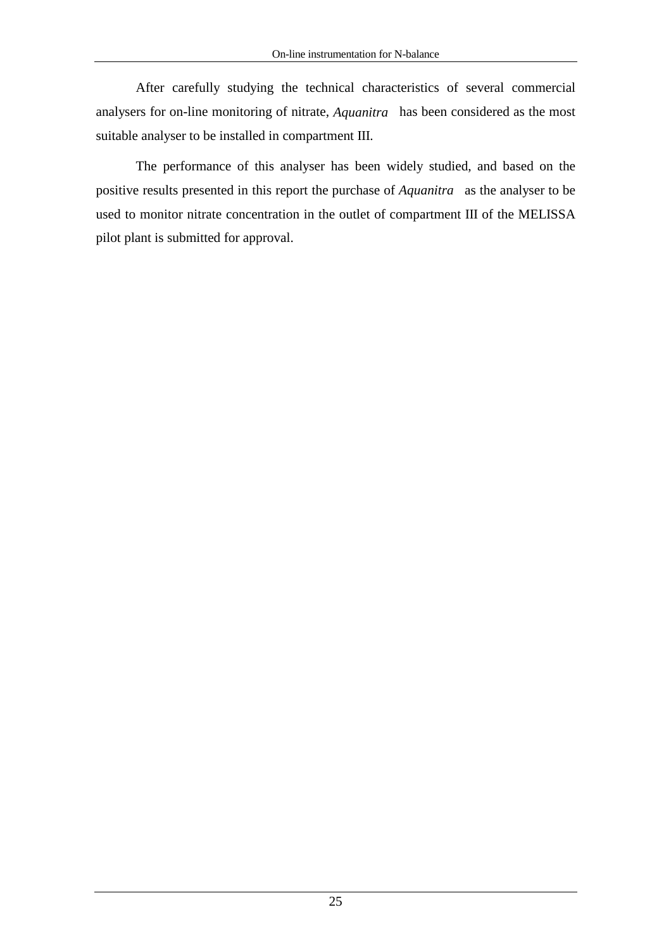After carefully studying the technical characteristics of several commercial analysers for on-line monitoring of nitrate,  $A$ *quanitra*<sup> $\textcircled{a}$ </sup> has been considered as the most suitable analyser to be installed in compartment III.

The performance of this analyser has been widely studied, and based on the positive results presented in this report the purchase of *Aquanitra*<sup>®</sup> as the analyser to be used to monitor nitrate concentration in the outlet of compartment III of the MELISSA pilot plant is submitted for approval.